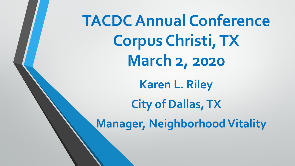**TACDC Annual Conference Corpus Christi, TX March 2, 2020 Karen L. Riley City of Dallas, TX Manager, Neighborhood Vitality**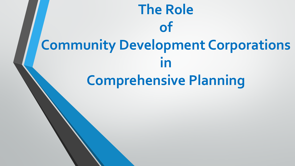# **The Role of Community Development Corporations in Comprehensive Planning**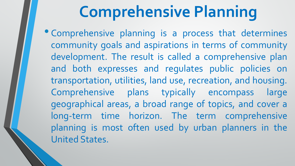# **Comprehensive Planning**

• Comprehensive planning is <sup>a</sup> process that determines community goals and aspirations in terms of community development. The result is called a comprehensive plan and both expresses and regulates public policies on transportation, utilities, land use, recreation, and housing. Comprehensive plans typically encompass large geographical areas, a broad range of topics, and cover a long-term time horizon. The term comprehensive planning is most often used by urban planners in the United States.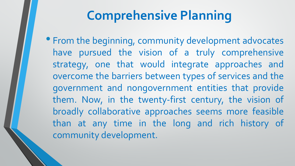# **Comprehensive Planning**

• From the beginning, community development advocates have pursued the vision of a truly comprehensive strategy, one that would integrate approaches and overcome the barriers between types of services and the government and nongovernment entities that provide them. Now, in the twenty-first century, the vision of broadly collaborative approaches seems more feasible than at any time in the long and rich history of community development.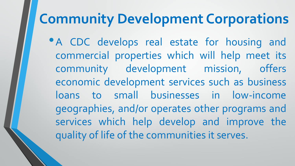# **Community Development Corporations**

•<sup>A</sup> CDC develops real estate for housing and commercial properties which will help meet its community development mission, offers economic development services such as business loans to small businesses in low-income geographies, and/or operates other programs and services which help develop and improve the quality of life of the communities it serves.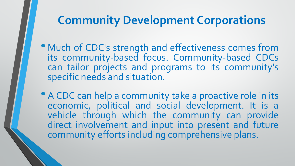#### **Community Development Corporations**

- Much of CDC's strength and effectiveness comes from its community-based focus. Community-based CDCs can tailor projects and programs to its community's specific needs and situation.
- A CDC can help a community take a proactive role in its economic, political and social development. It is a vehicle through which the community can provide direct involvement and input into present and future community efforts including comprehensive plans.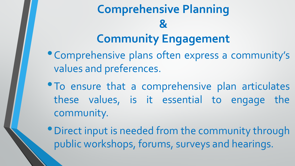# **Comprehensive Planning & Community Engagement**

- •Comprehensive plans often express <sup>a</sup> community's values and preferences.
- To ensure that a comprehensive plan articulates these values, is it essential to engage the community.
- •Direct input is needed from the community through public workshops, forums, surveys and hearings.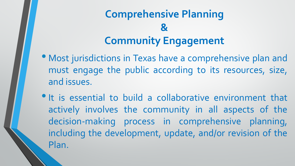### **Comprehensive Planning & Community Engagement**

- Most jurisdictions in Texas have <sup>a</sup> comprehensive plan and must engage the public according to its resources, size, and issues.
- It is essential to build a collaborative environment that actively involves the community in all aspects of the decision-making process in comprehensive planning, including the development, update, and/or revision of the Plan.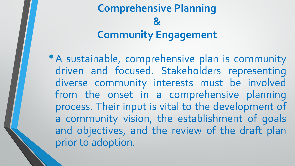### **Comprehensive Planning & Community Engagement**

• A sustainable, comprehensive plan is community driven and focused. Stakeholders representing diverse community interests must be involved from the onset in a comprehensive planning process. Their input is vital to the development of a community vision, the establishment of goals and objectives, and the review of the draft plan prior to adoption.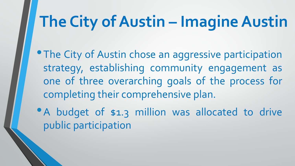# **The City of Austin – Imagine Austin**

- **The City of Austin chose an aggressive participation** strategy, establishing community engagement as one of three overarching goals of the process for completing their comprehensive plan.
- A budget of \$1.3 million was allocated to drive public participation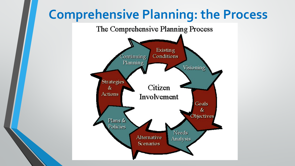# **Comprehensive Planning: the Process**

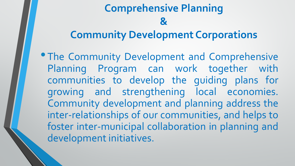**• The Community Development and Comprehensive** Planning Program can work together with communities to develop the guiding plans for growing and strengthening local economies. Community development and planning address the inter-relationships of our communities, and helps to foster inter-municipal collaboration in planning and development initiatives.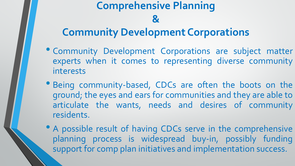- Community Development Corporations are subject matter experts when it comes to representing diverse community interests
- Being community-based, CDCs are often the boots on the ground; the eyes and ears for communities and they are able to articulate the wants, needs and desires of community residents.
- A possible result of having CDCs serve in the comprehensive planning process is widespread buy-in, possibly funding support for comp plan initiatives and implementation success.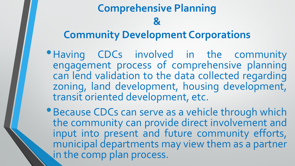# **Comprehensive Planning &**

#### **Community Development Corporations**

- Having CDCs involved in the community engagement process of comprehensive planning can lend validation to the data collected regarding zoning, land development, housing development, transit oriented development, etc.
- •Because CDCs can serve as <sup>a</sup> vehicle through which the community can provide direct involvement and input into present and future community efforts, municipal departments may view them as a partner in the comp plan process.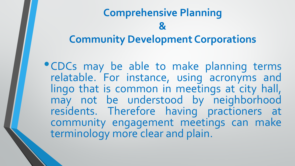•CDCs may be able to make planning terms relatable. For instance, using acronyms and lingo that is common in meetings at city hall, may not be understood by neighborhood residents. Therefore having practioners at community engagement meetings can make terminology more clear and plain.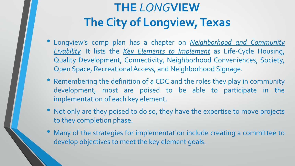# **THE** *LONG***VIEW The City of Longview, Texas**

- Longview's comp plan has <sup>a</sup> chapter on *Neighborhood and Community Livability.* It lists the *Key Elements to Implement* as Life-Cycle Housing, Quality Development, Connectivity, Neighborhood Conveniences, Society, Open Space, Recreational Access, and Neighborhood Signage.
- Remembering the definition of <sup>a</sup> CDC and the roles they play in community development, most are poised to be able to participate in the implementation of each key element.
- Not only are they poised to do so, they have the expertise to move projects to they completion phase.
- Many of the strategies for implementation include creating <sup>a</sup> committee to develop objectives to meet the key element goals.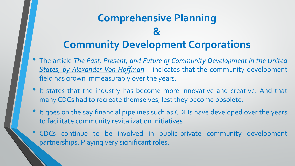- The article *The Past, Present, and Future of Community Development in the United States, by Alexander Von Hoffman* – indicates that the community development field has grown immeasurably over the years.
- It states that the industry has become more innovative and creative. And that many CDCs had to recreate themselves, lest they become obsolete.
- It goes on the say financial pipelines such as CDFIs have developed over the years to facilitate community revitalization initiatives.
- CDCs continue to be involved in public-private community development partnerships. Playing very significant roles.